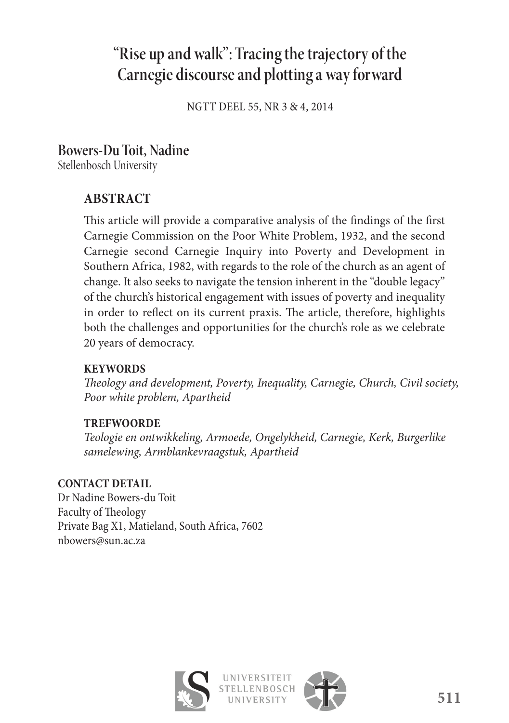# **"Rise up and walk": Tracing the trajectory of the Carnegie discourse and plotting a way forward**

NGTT DEEL 55, NR 3 & 4, 2014

## **Bowers-Du Toit, Nadine**

Stellenbosch University

### **ABSTRACT**

This article will provide a comparative analysis of the findings of the first Carnegie Commission on the Poor White Problem, 1932, and the second Carnegie second Carnegie Inquiry into Poverty and Development in Southern Africa, 1982, with regards to the role of the church as an agent of change. It also seeks to navigate the tension inherent in the "double legacy" of the church's historical engagement with issues of poverty and inequality in order to reflect on its current praxis. The article, therefore, highlights both the challenges and opportunities for the church's role as we celebrate 20 years of democracy.

### **KEYWORDS**

*Th eology and development, Poverty, Inequality, Carnegie, Church, Civil society, Poor white problem, Apartheid* 

### **TREFWOORDE**

*Teologie en ontwikkeling, Armoede, Ongelykheid, Carnegie, Kerk, Burgerlike samelewing, Armblankevraagstuk, Apartheid*

### **CONTACT DETAIL**

Dr Nadine Bowers-du Toit Faculty of Theology Private Bag X1, Matieland, South Africa, 7602 nbowers@sun.ac.za



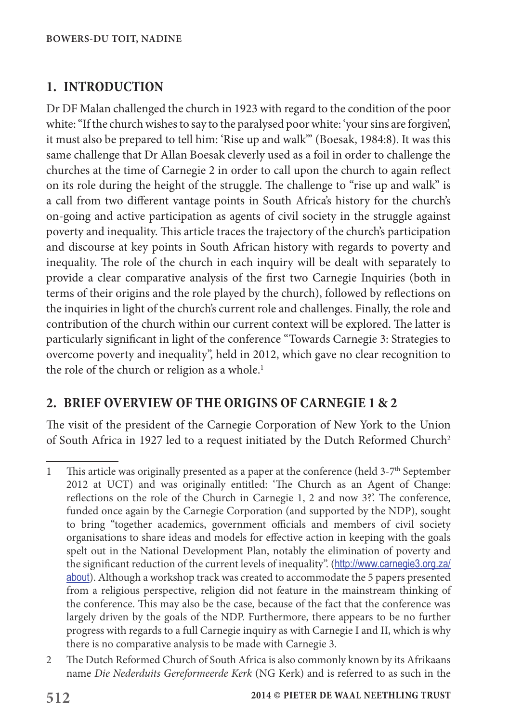### **1. INTRODUCTION**

Dr DF Malan challenged the church in 1923 with regard to the condition of the poor white: "If the church wishes to say to the paralysed poor white: 'your sins are forgiven', it must also be prepared to tell him: 'Rise up and walk'" (Boesak, 1984:8). It was this same challenge that Dr Allan Boesak cleverly used as a foil in order to challenge the churches at the time of Carnegie 2 in order to call upon the church to again reflect on its role during the height of the struggle. The challenge to "rise up and walk" is a call from two different vantage points in South Africa's history for the church's on-going and active participation as agents of civil society in the struggle against poverty and inequality. This article traces the trajectory of the church's participation and discourse at key points in South African history with regards to poverty and inequality. The role of the church in each inquiry will be dealt with separately to provide a clear comparative analysis of the first two Carnegie Inquiries (both in terms of their origins and the role played by the church), followed by reflections on the inquiries in light of the church's current role and challenges. Finally, the role and contribution of the church within our current context will be explored. The latter is particularly significant in light of the conference "Towards Carnegie 3: Strategies to overcome poverty and inequality", held in 2012, which gave no clear recognition to the role of the church or religion as a whole.<sup>1</sup>

### **2. BRIEF OVERVIEW OF THE ORIGINS OF CARNEGIE 1 & 2**

The visit of the president of the Carnegie Corporation of New York to the Union of South Africa in 1927 led to a request initiated by the Dutch Reformed Church<sup>2</sup>

<sup>1</sup> This article was originally presented as a paper at the conference (held 3-7<sup>th</sup> September 2012 at UCT) and was originally entitled: 'The Church as an Agent of Change: reflections on the role of the Church in Carnegie 1, 2 and now 3?'. The conference, funded once again by the Carnegie Corporation (and supported by the NDP), sought to bring "together academics, government officials and members of civil society organisations to share ideas and models for effective action in keeping with the goals spelt out in the National Development Plan, notably the elimination of poverty and the significant reduction of the current levels of inequality". (http://www.carnegie3.org.za/ about). Although a workshop track was created to accommodate the 5 papers presented from a religious perspective, religion did not feature in the mainstream thinking of the conference. This may also be the case, because of the fact that the conference was largely driven by the goals of the NDP. Furthermore, there appears to be no further progress with regards to a full Carnegie inquiry as with Carnegie I and II, which is why there is no comparative analysis to be made with Carnegie 3.

<sup>2</sup> The Dutch Reformed Church of South Africa is also commonly known by its Afrikaans name *Die Nederduits Gereformeerde Kerk* (NG Kerk) and is referred to as such in the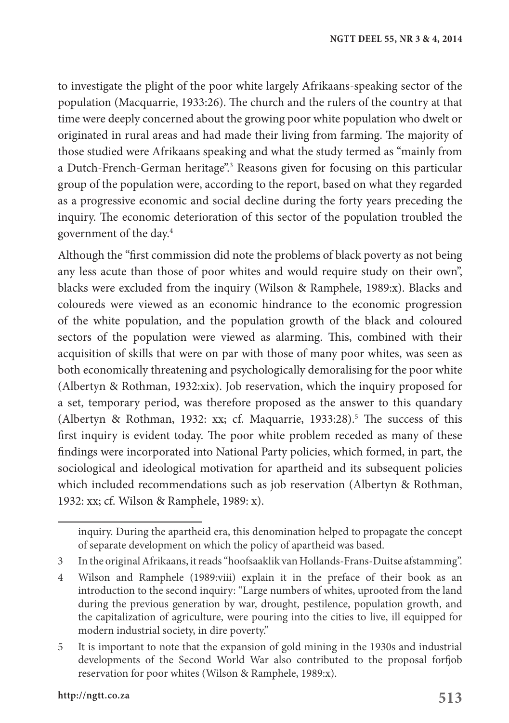to investigate the plight of the poor white largely Afrikaans-speaking sector of the population (Macquarrie, 1933:26). The church and the rulers of the country at that time were deeply concerned about the growing poor white population who dwelt or originated in rural areas and had made their living from farming. The majority of those studied were Afrikaans speaking and what the study termed as "mainly from a Dutch-French-German heritage".3 Reasons given for focusing on this particular group of the population were, according to the report, based on what they regarded as a progressive economic and social decline during the forty years preceding the inquiry. The economic deterioration of this sector of the population troubled the government of the day.4

Although the "first commission did note the problems of black poverty as not being any less acute than those of poor whites and would require study on their own", blacks were excluded from the inquiry (Wilson & Ramphele, 1989:x). Blacks and coloureds were viewed as an economic hindrance to the economic progression of the white population, and the population growth of the black and coloured sectors of the population were viewed as alarming. This, combined with their acquisition of skills that were on par with those of many poor whites, was seen as both economically threatening and psychologically demoralising for the poor white (Albertyn & Rothman, 1932:xix). Job reservation, which the inquiry proposed for a set, temporary period, was therefore proposed as the answer to this quandary (Albertyn & Rothman, 1932: xx; cf. Maquarrie, 1933:28).<sup>5</sup> The success of this first inquiry is evident today. The poor white problem receded as many of these findings were incorporated into National Party policies, which formed, in part, the sociological and ideological motivation for apartheid and its subsequent policies which included recommendations such as job reservation (Albertyn & Rothman, 1932: xx; cf. Wilson & Ramphele, 1989: x).

inquiry. During the apartheid era, this denomination helped to propagate the concept of separate development on which the policy of apartheid was based.

<sup>3</sup> In the original Afrikaans, it reads "hoofsaaklik van Hollands-Frans-Duitse afstamming".

<sup>4</sup> Wilson and Ramphele (1989:viii) explain it in the preface of their book as an introduction to the second inquiry: "Large numbers of whites, uprooted from the land during the previous generation by war, drought, pestilence, population growth, and the capitalization of agriculture, were pouring into the cities to live, ill equipped for modern industrial society, in dire poverty."

<sup>5</sup> It is important to note that the expansion of gold mining in the 1930s and industrial developments of the Second World War also contributed to the proposal forfjob reservation for poor whites (Wilson & Ramphele, 1989:x).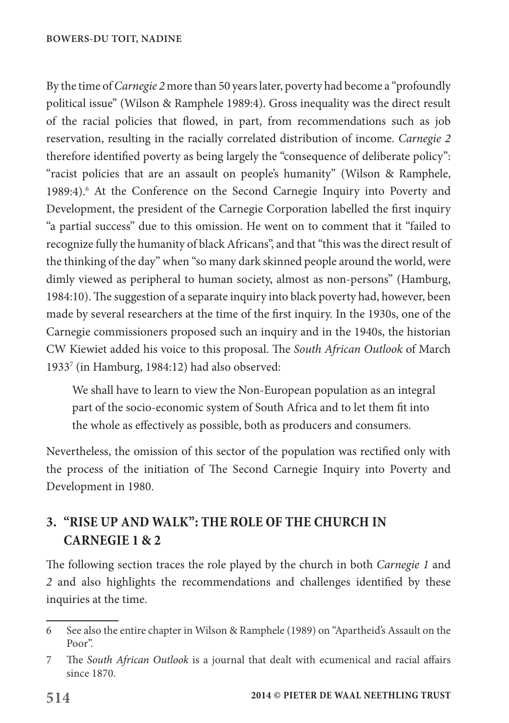By the time of *Carnegie 2* more than 50 years later, poverty had become a "profoundly political issue" (Wilson & Ramphele 1989:4). Gross inequality was the direct result of the racial policies that flowed, in part, from recommendations such as job reservation, resulting in the racially correlated distribution of income. *Carnegie 2* therefore identified poverty as being largely the "consequence of deliberate policy": "racist policies that are an assault on people's humanity" (Wilson & Ramphele, 1989:4).<sup>6</sup> At the Conference on the Second Carnegie Inquiry into Poverty and Development, the president of the Carnegie Corporation labelled the first inquiry "a partial success" due to this omission. He went on to comment that it "failed to recognize fully the humanity of black Africans", and that "this was the direct result of the thinking of the day" when "so many dark skinned people around the world, were dimly viewed as peripheral to human society, almost as non-persons" (Hamburg, 1984:10). The suggestion of a separate inquiry into black poverty had, however, been made by several researchers at the time of the first inquiry. In the 1930s, one of the Carnegie commissioners proposed such an inquiry and in the 1940s, the historian CW Kiewiet added his voice to this proposal. The *South African Outlook* of March 19337 (in Hamburg, 1984:12) had also observed:

We shall have to learn to view the Non-European population as an integral part of the socio-economic system of South Africa and to let them fit into the whole as effectively as possible, both as producers and consumers.

Nevertheless, the omission of this sector of the population was rectified only with the process of the initiation of The Second Carnegie Inquiry into Poverty and Development in 1980.

# **3. "RISE UP AND WALK": THE ROLE OF THE CHURCH IN CARNEGIE 1 & 2**

The following section traces the role played by the church in both *Carnegie 1* and *2* and also highlights the recommendations and challenges identified by these inquiries at the time.

<sup>6</sup> See also the entire chapter in Wilson & Ramphele (1989) on "Apartheid's Assault on the Poor".

<sup>7</sup> The *South African Outlook* is a journal that dealt with ecumenical and racial affairs since 1870.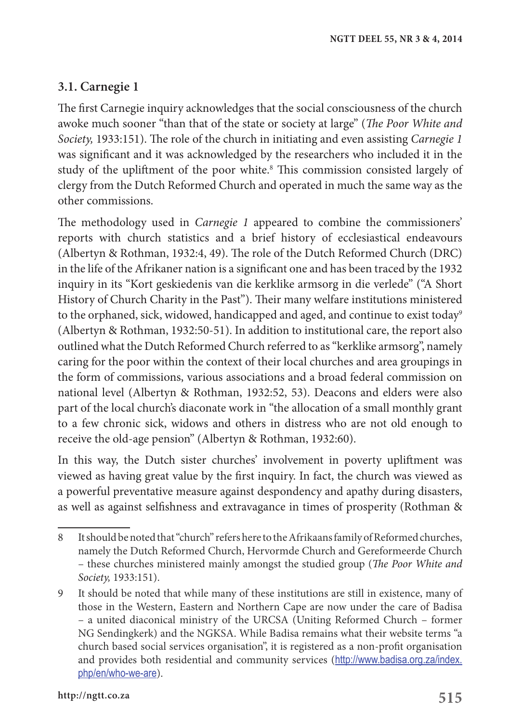### **3.1. Carnegie 1**

The first Carnegie inquiry acknowledges that the social consciousness of the church awoke much sooner "than that of the state or society at large" (*The Poor White and Society,* 1933:151). The role of the church in initiating and even assisting *Carnegie 1* was significant and it was acknowledged by the researchers who included it in the study of the upliftment of the poor white.8 This commission consisted largely of clergy from the Dutch Reformed Church and operated in much the same way as the other commissions.

The methodology used in *Carnegie 1* appeared to combine the commissioners' reports with church statistics and a brief history of ecclesiastical endeavours (Albertyn & Rothman, 1932:4, 49). The role of the Dutch Reformed Church (DRC) in the life of the Afrikaner nation is a significant one and has been traced by the 1932 inquiry in its "Kort geskiedenis van die kerklike armsorg in die verlede" ("A Short History of Church Charity in the Past"). Their many welfare institutions ministered to the orphaned, sick, widowed, handicapped and aged, and continue to exist today<sup>9</sup> (Albertyn & Rothman, 1932:50-51). In addition to institutional care, the report also outlined what the Dutch Reformed Church referred to as "kerklike armsorg", namely caring for the poor within the context of their local churches and area groupings in the form of commissions, various associations and a broad federal commission on national level (Albertyn & Rothman, 1932:52, 53). Deacons and elders were also part of the local church's diaconate work in "the allocation of a small monthly grant to a few chronic sick, widows and others in distress who are not old enough to receive the old-age pension" (Albertyn & Rothman, 1932:60).

In this way, the Dutch sister churches' involvement in poverty upliftment was viewed as having great value by the first inquiry. In fact, the church was viewed as a powerful preventative measure against despondency and apathy during disasters, as well as against selfishness and extravagance in times of prosperity (Rothman &

<sup>8</sup> It should be noted that "church" refers here to the Afrikaans family of Reformed churches, namely the Dutch Reformed Church, Hervormde Church and Gereformeerde Church – these churches ministered mainly amongst the studied group (*The Poor White and Society,* 1933:151).

<sup>9</sup> It should be noted that while many of these institutions are still in existence, many of those in the Western, Eastern and Northern Cape are now under the care of Badisa – a united diaconical ministry of the URCSA (Uniting Reformed Church – former NG Sendingkerk) and the NGKSA. While Badisa remains what their website terms "a church based social services organisation", it is registered as a non-profit organisation and provides both residential and community services (http://www.badisa.org.za/index. php/en/who-we-are).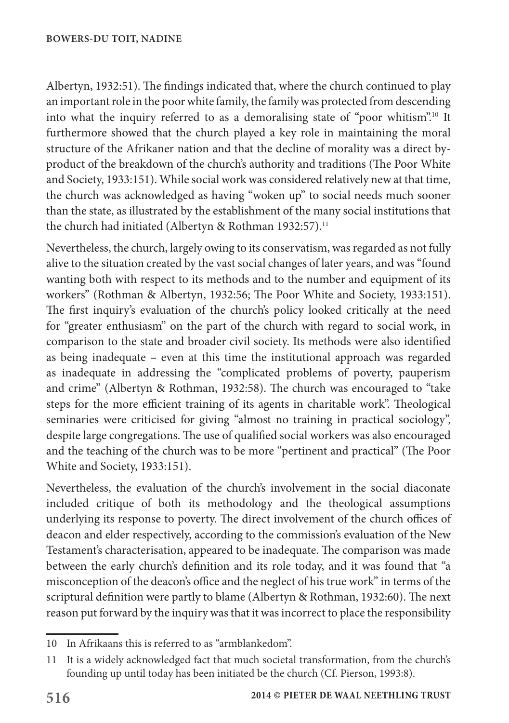Albertyn, 1932:51). The findings indicated that, where the church continued to play an important role in the poor white family, the family was protected from descending into what the inquiry referred to as a demoralising state of "poor whitism".10 It furthermore showed that the church played a key role in maintaining the moral structure of the Afrikaner nation and that the decline of morality was a direct byproduct of the breakdown of the church's authority and traditions (The Poor White and Society, 1933:151). While social work was considered relatively new at that time, the church was acknowledged as having "woken up" to social needs much sooner than the state, as illustrated by the establishment of the many social institutions that the church had initiated (Albertyn & Rothman 1932:57).<sup>11</sup>

Nevertheless, the church, largely owing to its conservatism, was regarded as not fully alive to the situation created by the vast social changes of later years, and was "found wanting both with respect to its methods and to the number and equipment of its workers" (Rothman & Albertyn, 1932:56; The Poor White and Society, 1933:151). The first inquiry's evaluation of the church's policy looked critically at the need for "greater enthusiasm" on the part of the church with regard to social work, in comparison to the state and broader civil society. Its methods were also identified as being inadequate – even at this time the institutional approach was regarded as inadequate in addressing the "complicated problems of poverty, pauperism and crime" (Albertyn & Rothman, 1932:58). The church was encouraged to "take steps for the more efficient training of its agents in charitable work". Theological seminaries were criticised for giving "almost no training in practical sociology", despite large congregations. The use of qualified social workers was also encouraged and the teaching of the church was to be more "pertinent and practical" (The Poor White and Society, 1933:151).

Nevertheless, the evaluation of the church's involvement in the social diaconate included critique of both its methodology and the theological assumptions underlying its response to poverty. The direct involvement of the church offices of deacon and elder respectively, according to the commission's evaluation of the New Testament's characterisation, appeared to be inadequate. The comparison was made between the early church's definition and its role today, and it was found that "a misconception of the deacon's office and the neglect of his true work" in terms of the scriptural definition were partly to blame (Albertyn & Rothman, 1932:60). The next reason put forward by the inquiry was that it was incorrect to place the responsibility

<sup>10</sup> In Afrikaans this is referred to as "armblankedom".

<sup>11</sup> It is a widely acknowledged fact that much societal transformation, from the church's founding up until today has been initiated be the church (Cf. Pierson, 1993:8).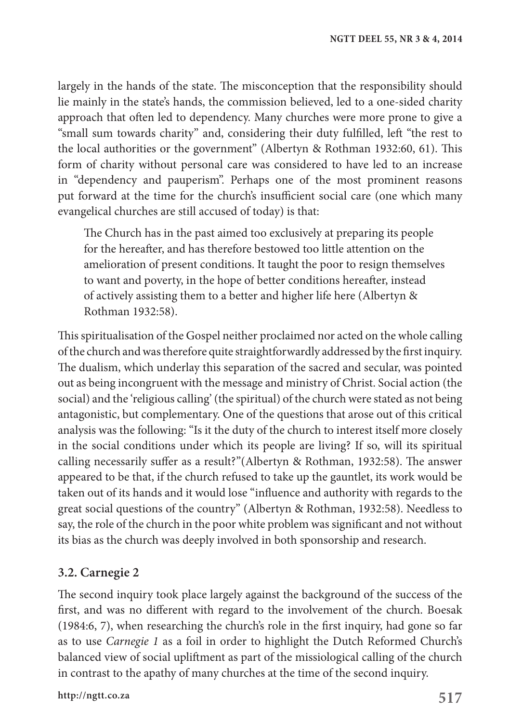largely in the hands of the state. The misconception that the responsibility should lie mainly in the state's hands, the commission believed, led to a one-sided charity approach that often led to dependency. Many churches were more prone to give a "small sum towards charity" and, considering their duty fulfilled, left "the rest to the local authorities or the government" (Albertyn & Rothman 1932:60, 61). This form of charity without personal care was considered to have led to an increase in "dependency and pauperism". Perhaps one of the most prominent reasons put forward at the time for the church's insufficient social care (one which many evangelical churches are still accused of today) is that:

The Church has in the past aimed too exclusively at preparing its people for the hereafter, and has therefore bestowed too little attention on the amelioration of present conditions. It taught the poor to resign themselves to want and poverty, in the hope of better conditions hereafter, instead of actively assisting them to a better and higher life here (Albertyn & Rothman 1932:58).

This spiritualisation of the Gospel neither proclaimed nor acted on the whole calling of the church and was therefore quite straightforwardly addressed by the first inquiry. The dualism, which underlay this separation of the sacred and secular, was pointed out as being incongruent with the message and ministry of Christ. Social action (the social) and the 'religious calling' (the spiritual) of the church were stated as not being antagonistic, but complementary. One of the questions that arose out of this critical analysis was the following: "Is it the duty of the church to interest itself more closely in the social conditions under which its people are living? If so, will its spiritual calling necessarily suffer as a result?"(Albertyn & Rothman, 1932:58). The answer appeared to be that, if the church refused to take up the gauntlet, its work would be taken out of its hands and it would lose "influence and authority with regards to the great social questions of the country" (Albertyn & Rothman, 1932:58). Needless to say, the role of the church in the poor white problem was significant and not without its bias as the church was deeply involved in both sponsorship and research.

### **3.2. Carnegie 2**

The second inquiry took place largely against the background of the success of the first, and was no different with regard to the involvement of the church. Boesak (1984:6, 7), when researching the church's role in the first inquiry, had gone so far as to use *Carnegie 1* as a foil in order to highlight the Dutch Reformed Church's balanced view of social upliftment as part of the missiological calling of the church in contrast to the apathy of many churches at the time of the second inquiry.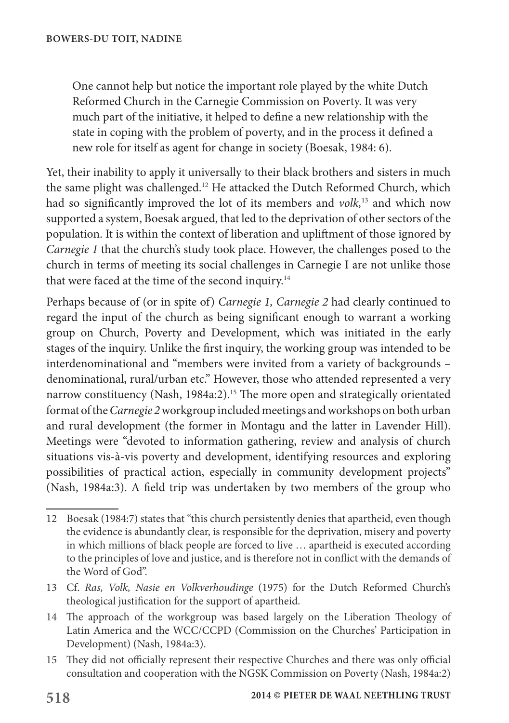One cannot help but notice the important role played by the white Dutch Reformed Church in the Carnegie Commission on Poverty. It was very much part of the initiative, it helped to define a new relationship with the state in coping with the problem of poverty, and in the process it defined a new role for itself as agent for change in society (Boesak, 1984: 6).

Yet, their inability to apply it universally to their black brothers and sisters in much the same plight was challenged.12 He attacked the Dutch Reformed Church, which had so significantly improved the lot of its members and *volk,*13 and which now supported a system, Boesak argued, that led to the deprivation of other sectors of the population. It is within the context of liberation and upliftment of those ignored by *Carnegie 1* that the church's study took place. However, the challenges posed to the church in terms of meeting its social challenges in Carnegie I are not unlike those that were faced at the time of the second inquiry.<sup>14</sup>

Perhaps because of (or in spite of) *Carnegie 1, Carnegie 2* had clearly continued to regard the input of the church as being significant enough to warrant a working group on Church, Poverty and Development, which was initiated in the early stages of the inquiry. Unlike the first inquiry, the working group was intended to be interdenominational and "members were invited from a variety of backgrounds – denominational, rural/urban etc." However, those who attended represented a very narrow constituency (Nash, 1984a:2).<sup>15</sup> The more open and strategically orientated format of the *Carnegie 2* workgroup included meetings and workshops on both urban and rural development (the former in Montagu and the latter in Lavender Hill). Meetings were "devoted to information gathering, review and analysis of church situations vis-à-vis poverty and development, identifying resources and exploring possibilities of practical action, especially in community development projects" (Nash, 1984a:3). A field trip was undertaken by two members of the group who

- 13 Cf. *Ras, Volk, Nasie en Volkverhoudinge* (1975) for the Dutch Reformed Church's theological justification for the support of apartheid.
- 14 The approach of the workgroup was based largely on the Liberation Theology of Latin America and the WCC/CCPD (Commission on the Churches' Participation in Development) (Nash, 1984a:3).
- 15 They did not officially represent their respective Churches and there was only official consultation and cooperation with the NGSK Commission on Poverty (Nash, 1984a:2)

<sup>12</sup> Boesak (1984:7) states that "this church persistently denies that apartheid, even though the evidence is abundantly clear, is responsible for the deprivation, misery and poverty in which millions of black people are forced to live … apartheid is executed according to the principles of love and justice, and is therefore not in conflict with the demands of the Word of God".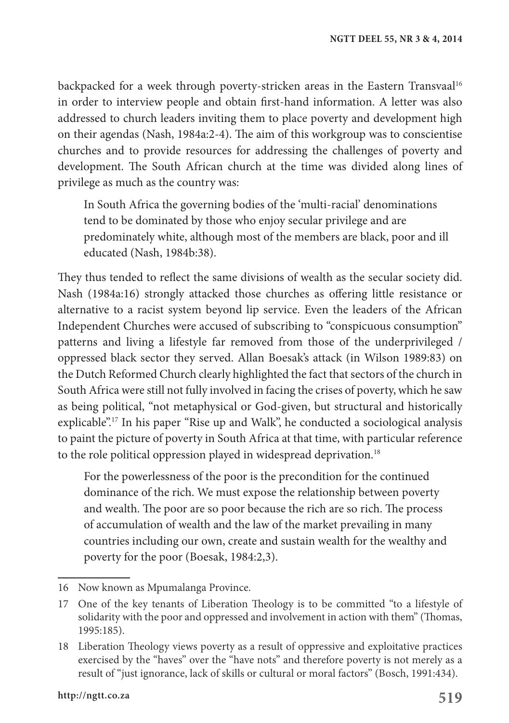backpacked for a week through poverty-stricken areas in the Eastern Transvaal<sup>16</sup> in order to interview people and obtain first-hand information. A letter was also addressed to church leaders inviting them to place poverty and development high on their agendas (Nash, 1984a:2-4). The aim of this workgroup was to conscientise churches and to provide resources for addressing the challenges of poverty and development. The South African church at the time was divided along lines of privilege as much as the country was:

In South Africa the governing bodies of the 'multi-racial' denominations tend to be dominated by those who enjoy secular privilege and are predominately white, although most of the members are black, poor and ill educated (Nash, 1984b:38).

They thus tended to reflect the same divisions of wealth as the secular society did. Nash (1984a:16) strongly attacked those churches as offering little resistance or alternative to a racist system beyond lip service. Even the leaders of the African Independent Churches were accused of subscribing to "conspicuous consumption" patterns and living a lifestyle far removed from those of the underprivileged / oppressed black sector they served. Allan Boesak's attack (in Wilson 1989:83) on the Dutch Reformed Church clearly highlighted the fact that sectors of the church in South Africa were still not fully involved in facing the crises of poverty, which he saw as being political, "not metaphysical or God-given, but structural and historically explicable".17 In his paper "Rise up and Walk", he conducted a sociological analysis to paint the picture of poverty in South Africa at that time, with particular reference to the role political oppression played in widespread deprivation.<sup>18</sup>

For the powerlessness of the poor is the precondition for the continued dominance of the rich. We must expose the relationship between poverty and wealth. The poor are so poor because the rich are so rich. The process of accumulation of wealth and the law of the market prevailing in many countries including our own, create and sustain wealth for the wealthy and poverty for the poor (Boesak, 1984:2,3).

<sup>16</sup> Now known as Mpumalanga Province.

<sup>17</sup> One of the key tenants of Liberation Theology is to be committed "to a lifestyle of solidarity with the poor and oppressed and involvement in action with them" (Thomas, 1995:185).

<sup>18</sup> Liberation Theology views poverty as a result of oppressive and exploitative practices exercised by the "haves" over the "have nots" and therefore poverty is not merely as a result of "just ignorance, lack of skills or cultural or moral factors" (Bosch, 1991:434).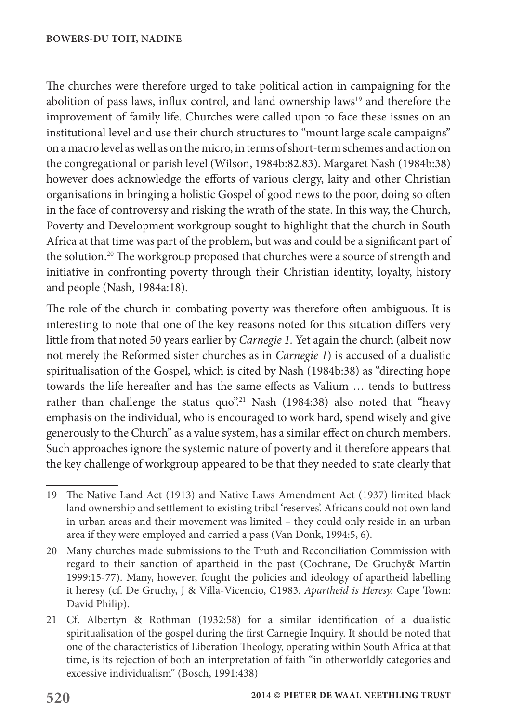The churches were therefore urged to take political action in campaigning for the abolition of pass laws, influx control, and land ownership laws<sup>19</sup> and therefore the improvement of family life. Churches were called upon to face these issues on an institutional level and use their church structures to "mount large scale campaigns" on a macro level as well as on the micro, in terms of short-term schemes and action on the congregational or parish level (Wilson, 1984b:82.83). Margaret Nash (1984b:38) however does acknowledge the efforts of various clergy, laity and other Christian organisations in bringing a holistic Gospel of good news to the poor, doing so often in the face of controversy and risking the wrath of the state. In this way, the Church, Poverty and Development workgroup sought to highlight that the church in South Africa at that time was part of the problem, but was and could be a significant part of the solution.<sup>20</sup> The workgroup proposed that churches were a source of strength and initiative in confronting poverty through their Christian identity, loyalty, history and people (Nash, 1984a:18).

The role of the church in combating poverty was therefore often ambiguous. It is interesting to note that one of the key reasons noted for this situation differs very little from that noted 50 years earlier by *Carnegie 1.* Yet again the church (albeit now not merely the Reformed sister churches as in *Carnegie 1*) is accused of a dualistic spiritualisation of the Gospel, which is cited by Nash (1984b:38) as "directing hope towards the life hereafter and has the same effects as Valium … tends to buttress rather than challenge the status quo".<sup>21</sup> Nash (1984:38) also noted that "heavy emphasis on the individual, who is encouraged to work hard, spend wisely and give generously to the Church" as a value system, has a similar effect on church members. Such approaches ignore the systemic nature of poverty and it therefore appears that the key challenge of workgroup appeared to be that they needed to state clearly that

<sup>19</sup> The Native Land Act (1913) and Native Laws Amendment Act (1937) limited black land ownership and settlement to existing tribal 'reserves'. Africans could not own land in urban areas and their movement was limited – they could only reside in an urban area if they were employed and carried a pass (Van Donk, 1994:5, 6).

<sup>20</sup> Many churches made submissions to the Truth and Reconciliation Commission with regard to their sanction of apartheid in the past (Cochrane, De Gruchy& Martin 1999:15-77). Many, however, fought the policies and ideology of apartheid labelling it heresy (cf. De Gruchy, J & Villa-Vicencio, C1983. *Apartheid is Heresy.* Cape Town: David Philip).

<sup>21</sup> Cf. Albertyn & Rothman (1932:58) for a similar identification of a dualistic spiritualisation of the gospel during the first Carnegie Inquiry. It should be noted that one of the characteristics of Liberation Theology, operating within South Africa at that time, is its rejection of both an interpretation of faith "in otherworldly categories and excessive individualism" (Bosch, 1991:438)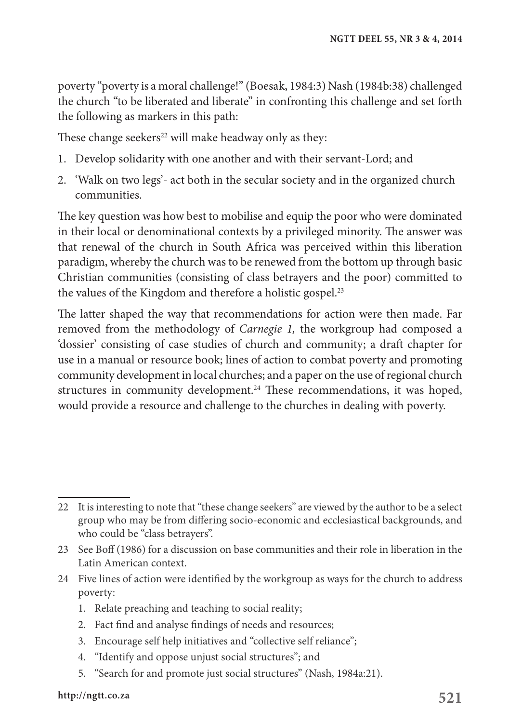poverty "poverty is a moral challenge!" (Boesak, 1984:3) Nash (1984b:38) challenged the church "to be liberated and liberate" in confronting this challenge and set forth the following as markers in this path:

These change seekers<sup>22</sup> will make headway only as they:

- 1. Develop solidarity with one another and with their servant-Lord; and
- 2. 'Walk on two legs'- act both in the secular society and in the organized church communities.

The key question was how best to mobilise and equip the poor who were dominated in their local or denominational contexts by a privileged minority. The answer was that renewal of the church in South Africa was perceived within this liberation paradigm, whereby the church was to be renewed from the bottom up through basic Christian communities (consisting of class betrayers and the poor) committed to the values of the Kingdom and therefore a holistic gospel.<sup>23</sup>

The latter shaped the way that recommendations for action were then made. Far removed from the methodology of *Carnegie 1,* the workgroup had composed a 'dossier' consisting of case studies of church and community; a draft chapter for use in a manual or resource book; lines of action to combat poverty and promoting community development in local churches; and a paper on the use of regional church structures in community development.<sup>24</sup> These recommendations, it was hoped, would provide a resource and challenge to the churches in dealing with poverty.

- 24 Five lines of action were identified by the workgroup as ways for the church to address poverty:
	- 1. Relate preaching and teaching to social reality;
	- 2. Fact find and analyse findings of needs and resources;
	- 3. Encourage self help initiatives and "collective self reliance";
	- 4. "Identify and oppose unjust social structures"; and
	- 5. "Search for and promote just social structures" (Nash, 1984a:21).

<sup>22</sup> It is interesting to note that "these change seekers" are viewed by the author to be a select group who may be from differing socio-economic and ecclesiastical backgrounds, and who could be "class betrayers".

<sup>23</sup> See Boff (1986) for a discussion on base communities and their role in liberation in the Latin American context.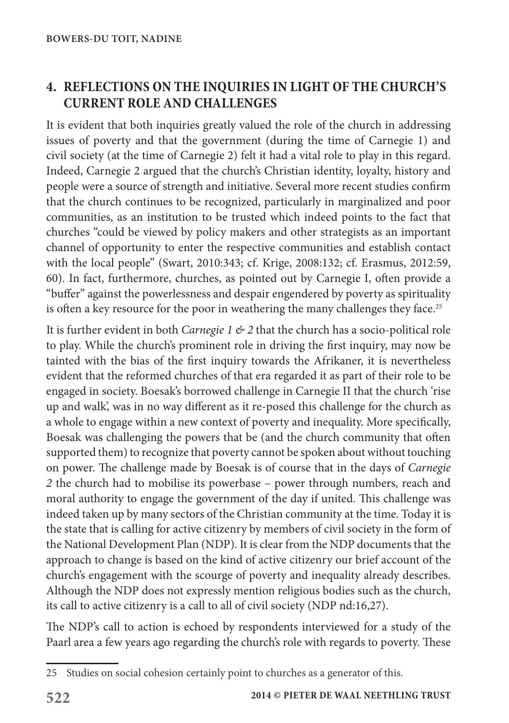### **4. REFLECTIONS ON THE INQUIRIES IN LIGHT OF THE CHURCH'S CURRENT ROLE AND CHALLENGES**

It is evident that both inquiries greatly valued the role of the church in addressing issues of poverty and that the government (during the time of Carnegie 1) and civil society (at the time of Carnegie 2) felt it had a vital role to play in this regard. Indeed, Carnegie 2 argued that the church's Christian identity, loyalty, history and people were a source of strength and initiative. Several more recent studies confirm that the church continues to be recognized, particularly in marginalized and poor communities, as an institution to be trusted which indeed points to the fact that churches "could be viewed by policy makers and other strategists as an important channel of opportunity to enter the respective communities and establish contact with the local people" (Swart, 2010:343; cf. Krige, 2008:132; cf. Erasmus, 2012:59, 60). In fact, furthermore, churches, as pointed out by Carnegie I, often provide a "buffer" against the powerlessness and despair engendered by poverty as spirituality is often a key resource for the poor in weathering the many challenges they face.<sup>25</sup>

It is further evident in both *Carnegie 1 & 2* that the church has a socio-political role to play. While the church's prominent role in driving the first inquiry, may now be tainted with the bias of the first inquiry towards the Afrikaner, it is nevertheless evident that the reformed churches of that era regarded it as part of their role to be engaged in society. Boesak's borrowed challenge in Carnegie II that the church 'rise up and walk', was in no way different as it re-posed this challenge for the church as a whole to engage within a new context of poverty and inequality. More specifically, Boesak was challenging the powers that be (and the church community that often supported them) to recognize that poverty cannot be spoken about without touching on power. The challenge made by Boesak is of course that in the days of *Carnegie 2* the church had to mobilise its powerbase – power through numbers, reach and moral authority to engage the government of the day if united. This challenge was indeed taken up by many sectors of the Christian community at the time. Today it is the state that is calling for active citizenry by members of civil society in the form of the National Development Plan (NDP). It is clear from the NDP documents that the approach to change is based on the kind of active citizenry our brief account of the church's engagement with the scourge of poverty and inequality already describes. Although the NDP does not expressly mention religious bodies such as the church, its call to active citizenry is a call to all of civil society (NDP nd:16,27).

The NDP's call to action is echoed by respondents interviewed for a study of the Paarl area a few years ago regarding the church's role with regards to poverty. These

<sup>25</sup> Studies on social cohesion certainly point to churches as a generator of this.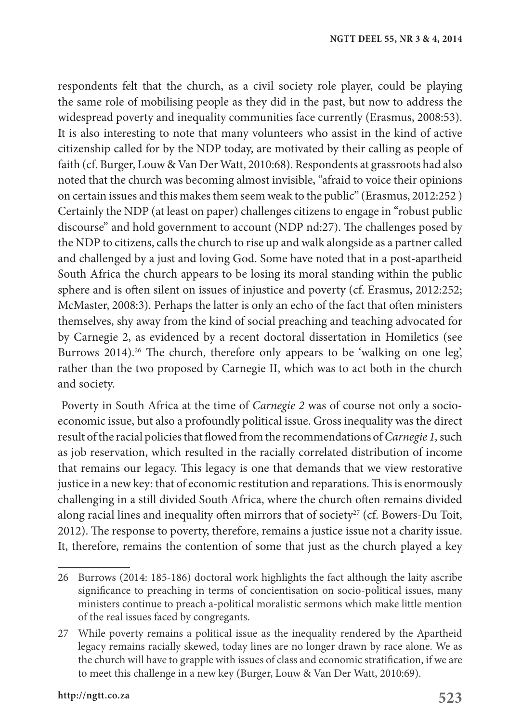respondents felt that the church, as a civil society role player, could be playing the same role of mobilising people as they did in the past, but now to address the widespread poverty and inequality communities face currently (Erasmus, 2008:53). It is also interesting to note that many volunteers who assist in the kind of active citizenship called for by the NDP today, are motivated by their calling as people of faith (cf. Burger, Louw & Van Der Watt, 2010:68). Respondents at grassroots had also noted that the church was becoming almost invisible, "afraid to voice their opinions on certain issues and this makes them seem weak to the public" (Erasmus, 2012:252 ) Certainly the NDP (at least on paper) challenges citizens to engage in "robust public discourse" and hold government to account (NDP nd:27). The challenges posed by the NDP to citizens, calls the church to rise up and walk alongside as a partner called and challenged by a just and loving God. Some have noted that in a post-apartheid South Africa the church appears to be losing its moral standing within the public sphere and is often silent on issues of injustice and poverty (cf. Erasmus, 2012:252; McMaster, 2008:3). Perhaps the latter is only an echo of the fact that often ministers themselves, shy away from the kind of social preaching and teaching advocated for by Carnegie 2, as evidenced by a recent doctoral dissertation in Homiletics (see Burrows 2014).<sup>26</sup> The church, therefore only appears to be 'walking on one leg', rather than the two proposed by Carnegie II, which was to act both in the church and society.

 Poverty in South Africa at the time of *Carnegie 2* was of course not only a socioeconomic issue, but also a profoundly political issue. Gross inequality was the direct result of the racial policies that flowed from the recommendations of *Carnegie 1,* such as job reservation, which resulted in the racially correlated distribution of income that remains our legacy. This legacy is one that demands that we view restorative justice in a new key: that of economic restitution and reparations. This is enormously challenging in a still divided South Africa, where the church often remains divided along racial lines and inequality often mirrors that of society<sup>27</sup> (cf. Bowers-Du Toit, 2012). The response to poverty, therefore, remains a justice issue not a charity issue. It, therefore, remains the contention of some that just as the church played a key

<sup>26</sup> Burrows (2014: 185-186) doctoral work highlights the fact although the laity ascribe significance to preaching in terms of concientisation on socio-political issues, many ministers continue to preach a-political moralistic sermons which make little mention of the real issues faced by congregants.

<sup>27</sup> While poverty remains a political issue as the inequality rendered by the Apartheid legacy remains racially skewed, today lines are no longer drawn by race alone. We as the church will have to grapple with issues of class and economic stratification, if we are to meet this challenge in a new key (Burger, Louw & Van Der Watt, 2010:69).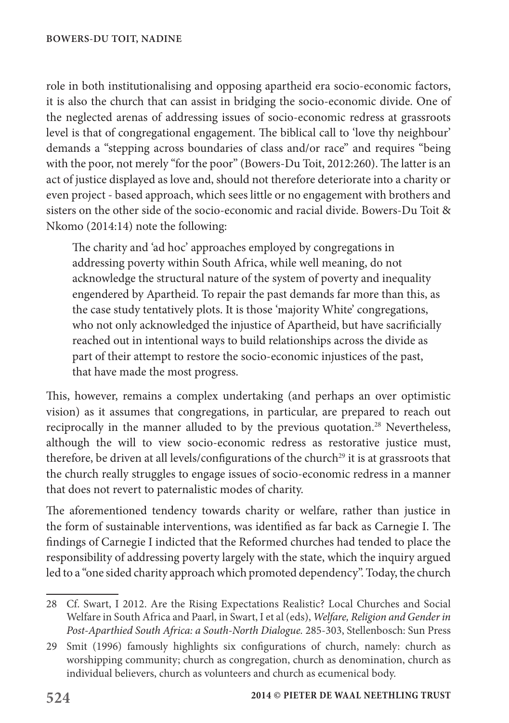role in both institutionalising and opposing apartheid era socio-economic factors, it is also the church that can assist in bridging the socio-economic divide. One of the neglected arenas of addressing issues of socio-economic redress at grassroots level is that of congregational engagement. The biblical call to 'love thy neighbour' demands a "stepping across boundaries of class and/or race" and requires "being with the poor, not merely "for the poor" (Bowers-Du Toit, 2012:260). The latter is an act of justice displayed as love and, should not therefore deteriorate into a charity or even project - based approach, which sees little or no engagement with brothers and sisters on the other side of the socio-economic and racial divide. Bowers-Du Toit & Nkomo (2014:14) note the following:

The charity and 'ad hoc' approaches employed by congregations in addressing poverty within South Africa, while well meaning, do not acknowledge the structural nature of the system of poverty and inequality engendered by Apartheid. To repair the past demands far more than this, as the case study tentatively plots. It is those 'majority White' congregations, who not only acknowledged the injustice of Apartheid, but have sacrificially reached out in intentional ways to build relationships across the divide as part of their attempt to restore the socio-economic injustices of the past, that have made the most progress.

This, however, remains a complex undertaking (and perhaps an over optimistic vision) as it assumes that congregations, in particular, are prepared to reach out reciprocally in the manner alluded to by the previous quotation.<sup>28</sup> Nevertheless, although the will to view socio-economic redress as restorative justice must, therefore, be driven at all levels/configurations of the church<sup>29</sup> it is at grassroots that the church really struggles to engage issues of socio-economic redress in a manner that does not revert to paternalistic modes of charity.

The aforementioned tendency towards charity or welfare, rather than justice in the form of sustainable interventions, was identified as far back as Carnegie I. The findings of Carnegie I indicted that the Reformed churches had tended to place the responsibility of addressing poverty largely with the state, which the inquiry argued led to a "one sided charity approach which promoted dependency". Today, the church

<sup>28</sup> Cf. Swart, I 2012. Are the Rising Expectations Realistic? Local Churches and Social Welfare in South Africa and Paarl, in Swart, I et al (eds), *Welfare, Religion and Gender in Post-Aparthied South Africa: a South-North Dialogue.* 285-303, Stellenbosch: Sun Press

<sup>29</sup> Smit (1996) famously highlights six configurations of church, namely: church as worshipping community; church as congregation, church as denomination, church as individual believers, church as volunteers and church as ecumenical body.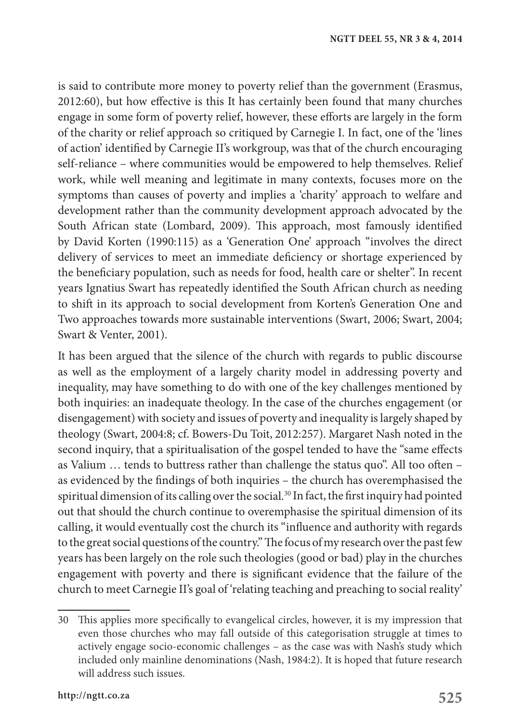is said to contribute more money to poverty relief than the government (Erasmus, 2012:60), but how effective is this It has certainly been found that many churches engage in some form of poverty relief, however, these efforts are largely in the form of the charity or relief approach so critiqued by Carnegie I. In fact, one of the 'lines of action' identified by Carnegie II's workgroup, was that of the church encouraging self-reliance – where communities would be empowered to help themselves. Relief work, while well meaning and legitimate in many contexts, focuses more on the symptoms than causes of poverty and implies a 'charity' approach to welfare and development rather than the community development approach advocated by the South African state (Lombard, 2009). This approach, most famously identified by David Korten (1990:115) as a 'Generation One' approach "involves the direct delivery of services to meet an immediate deficiency or shortage experienced by the beneficiary population, such as needs for food, health care or shelter". In recent years Ignatius Swart has repeatedly identified the South African church as needing to shift in its approach to social development from Korten's Generation One and Two approaches towards more sustainable interventions (Swart, 2006; Swart, 2004; Swart & Venter, 2001).

It has been argued that the silence of the church with regards to public discourse as well as the employment of a largely charity model in addressing poverty and inequality, may have something to do with one of the key challenges mentioned by both inquiries: an inadequate theology. In the case of the churches engagement (or disengagement) with society and issues of poverty and inequality is largely shaped by theology (Swart, 2004:8; cf. Bowers-Du Toit, 2012:257). Margaret Nash noted in the second inquiry, that a spiritualisation of the gospel tended to have the "same effects as Valium … tends to buttress rather than challenge the status quo". All too often – as evidenced by the findings of both inquiries – the church has overemphasised the spiritual dimension of its calling over the social.<sup>30</sup> In fact, the first inquiry had pointed out that should the church continue to overemphasise the spiritual dimension of its calling, it would eventually cost the church its "influence and authority with regards to the great social questions of the country." The focus of my research over the past few years has been largely on the role such theologies (good or bad) play in the churches engagement with poverty and there is significant evidence that the failure of the church to meet Carnegie II's goal of 'relating teaching and preaching to social reality'

<sup>30</sup> This applies more specifically to evangelical circles, however, it is my impression that even those churches who may fall outside of this categorisation struggle at times to actively engage socio-economic challenges – as the case was with Nash's study which included only mainline denominations (Nash, 1984:2). It is hoped that future research will address such issues.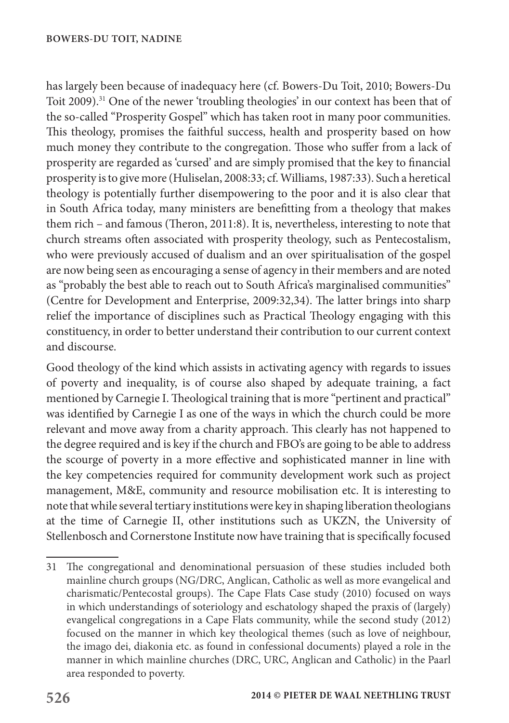has largely been because of inadequacy here (cf. Bowers-Du Toit, 2010; Bowers-Du Toit 2009).<sup>31</sup> One of the newer 'troubling theologies' in our context has been that of the so-called "Prosperity Gospel" which has taken root in many poor communities. This theology, promises the faithful success, health and prosperity based on how much money they contribute to the congregation. Those who suffer from a lack of prosperity are regarded as 'cursed' and are simply promised that the key to financial prosperity is to give more (Huliselan, 2008:33; cf. Williams, 1987:33). Such a heretical theology is potentially further disempowering to the poor and it is also clear that in South Africa today, many ministers are benefitting from a theology that makes them rich – and famous (Theron, 2011:8). It is, nevertheless, interesting to note that church streams often associated with prosperity theology, such as Pentecostalism, who were previously accused of dualism and an over spiritualisation of the gospel are now being seen as encouraging a sense of agency in their members and are noted as "probably the best able to reach out to South Africa's marginalised communities" (Centre for Development and Enterprise, 2009:32,34). The latter brings into sharp relief the importance of disciplines such as Practical Theology engaging with this constituency, in order to better understand their contribution to our current context and discourse.

Good theology of the kind which assists in activating agency with regards to issues of poverty and inequality, is of course also shaped by adequate training, a fact mentioned by Carnegie I. Theological training that is more "pertinent and practical" was identified by Carnegie I as one of the ways in which the church could be more relevant and move away from a charity approach. This clearly has not happened to the degree required and is key if the church and FBO's are going to be able to address the scourge of poverty in a more effective and sophisticated manner in line with the key competencies required for community development work such as project management, M&E, community and resource mobilisation etc. It is interesting to note that while several tertiary institutions were key in shaping liberation theologians at the time of Carnegie II, other institutions such as UKZN, the University of Stellenbosch and Cornerstone Institute now have training that is specifically focused

<sup>31</sup> The congregational and denominational persuasion of these studies included both mainline church groups (NG/DRC, Anglican, Catholic as well as more evangelical and charismatic/Pentecostal groups). The Cape Flats Case study (2010) focused on ways in which understandings of soteriology and eschatology shaped the praxis of (largely) evangelical congregations in a Cape Flats community, while the second study (2012) focused on the manner in which key theological themes (such as love of neighbour, the imago dei, diakonia etc. as found in confessional documents) played a role in the manner in which mainline churches (DRC, URC, Anglican and Catholic) in the Paarl area responded to poverty.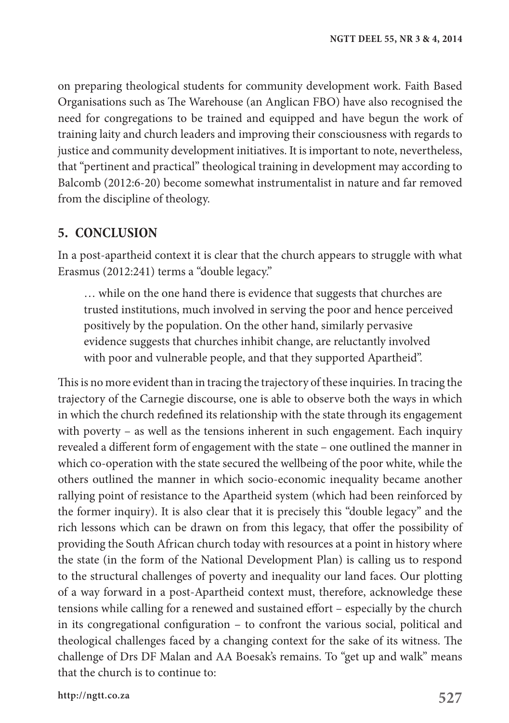on preparing theological students for community development work. Faith Based Organisations such as The Warehouse (an Anglican FBO) have also recognised the need for congregations to be trained and equipped and have begun the work of training laity and church leaders and improving their consciousness with regards to justice and community development initiatives. It is important to note, nevertheless, that "pertinent and practical" theological training in development may according to Balcomb (2012:6-20) become somewhat instrumentalist in nature and far removed from the discipline of theology.

#### **5. CONCLUSION**

In a post-apartheid context it is clear that the church appears to struggle with what Erasmus (2012:241) terms a "double legacy."

… while on the one hand there is evidence that suggests that churches are trusted institutions, much involved in serving the poor and hence perceived positively by the population. On the other hand, similarly pervasive evidence suggests that churches inhibit change, are reluctantly involved with poor and vulnerable people, and that they supported Apartheid".

This is no more evident than in tracing the trajectory of these inquiries. In tracing the trajectory of the Carnegie discourse, one is able to observe both the ways in which in which the church redefined its relationship with the state through its engagement with poverty – as well as the tensions inherent in such engagement. Each inquiry revealed a different form of engagement with the state – one outlined the manner in which co-operation with the state secured the wellbeing of the poor white, while the others outlined the manner in which socio-economic inequality became another rallying point of resistance to the Apartheid system (which had been reinforced by the former inquiry). It is also clear that it is precisely this "double legacy" and the rich lessons which can be drawn on from this legacy, that offer the possibility of providing the South African church today with resources at a point in history where the state (in the form of the National Development Plan) is calling us to respond to the structural challenges of poverty and inequality our land faces. Our plotting of a way forward in a post-Apartheid context must, therefore, acknowledge these tensions while calling for a renewed and sustained effort – especially by the church in its congregational configuration – to confront the various social, political and theological challenges faced by a changing context for the sake of its witness. The challenge of Drs DF Malan and AA Boesak's remains. To "get up and walk" means that the church is to continue to: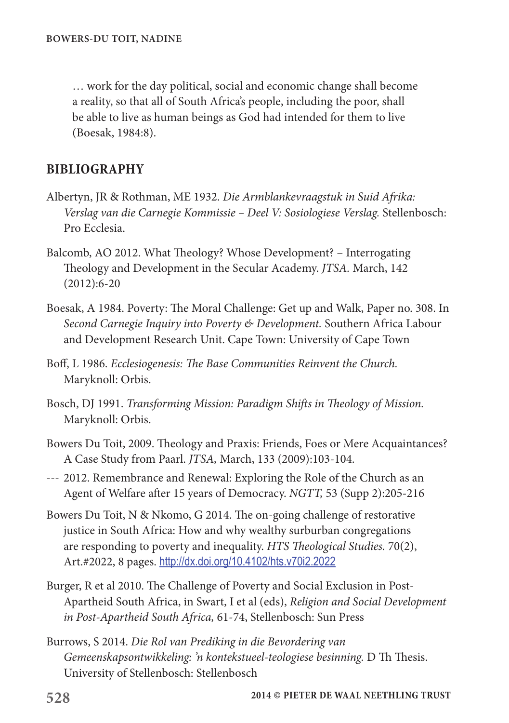… work for the day political, social and economic change shall become a reality, so that all of South Africa's people, including the poor, shall be able to live as human beings as God had intended for them to live (Boesak, 1984:8).

### **BIBLIOGRAPHY**

- Albertyn, JR & Rothman, ME 1932. *Die Armblankevraagstuk in Suid Afrika: Verslag van die Carnegie Kommissie – Deel V: Sosiologiese Verslag.* Stellenbosch: Pro Ecclesia.
- Balcomb, AO 2012. What Theology? Whose Development? Interrogating Theology and Development in the Secular Academy. *JTSA.* March, 142 (2012):6-20
- Boesak, A 1984. Poverty: The Moral Challenge: Get up and Walk, Paper no. 308. In *Second Carnegie Inquiry into Poverty & Development.* Southern Africa Labour and Development Research Unit. Cape Town: University of Cape Town
- Boff, L 1986. *Ecclesiogenesis: The Base Communities Reinvent the Church.* Maryknoll: Orbis.
- Bosch, DJ 1991. *Transforming Mission: Paradigm Shifts in Theology of Mission.* Maryknoll: Orbis.
- Bowers Du Toit, 2009. Theology and Praxis: Friends, Foes or Mere Acquaintances? A Case Study from Paarl. *JTSA,* March, 133 (2009):103-104.
- --- 2012. Remembrance and Renewal: Exploring the Role of the Church as an Agent of Welfare after 15 years of Democracy. *NGTT,* 53 (Supp 2):205-216
- Bowers Du Toit, N & Nkomo, G 2014. The on-going challenge of restorative justice in South Africa: How and why wealthy surburban congregations are responding to poverty and inequality. *HTS Theological Studies.* 70(2), Art.#2022, 8 pages. http://dx.doi.org/10.4102/hts.v70i2.2022
- Burger, R et al 2010. The Challenge of Poverty and Social Exclusion in Post-Apartheid South Africa, in Swart, I et al (eds), *Religion and Social Development in Post-Apartheid South Africa,* 61-74, Stellenbosch: Sun Press
- Burrows, S 2014. *Die Rol van Prediking in die Bevordering van Gemeenskapsontwikkeling: 'n kontekstueel-teologiese besinning.* D Th Thesis. University of Stellenbosch: Stellenbosch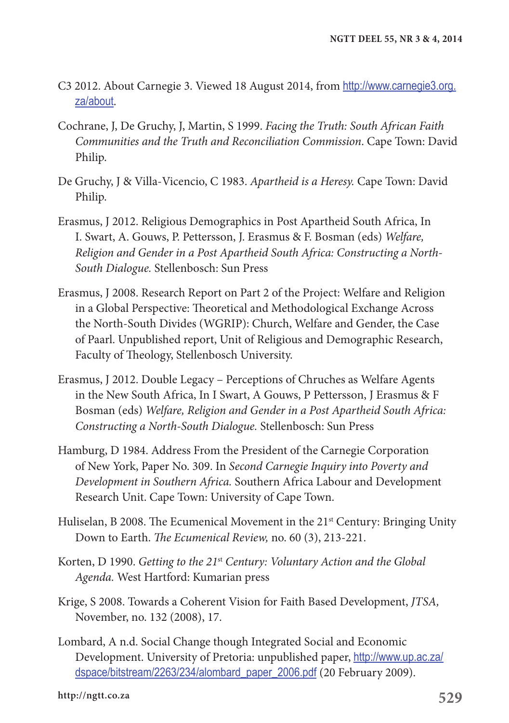- C3 2012. About Carnegie 3. Viewed 18 August 2014, from http://www.carnegie3.org. za/about.
- Cochrane, J, De Gruchy, J, Martin, S 1999. *Facing the Truth: South African Faith Communities and the Truth and Reconciliation Commission*. Cape Town: David Philip.
- De Gruchy, J & Villa-Vicencio, C 1983. *Apartheid is a Heresy.* Cape Town: David Philip.
- Erasmus, J 2012. Religious Demographics in Post Apartheid South Africa, In I. Swart, A. Gouws, P. Pettersson, J. Erasmus & F. Bosman (eds) *Welfare, Religion and Gender in a Post Apartheid South Africa: Constructing a North-South Dialogue.* Stellenbosch: Sun Press
- Erasmus, J 2008. Research Report on Part 2 of the Project: Welfare and Religion in a Global Perspective: Theoretical and Methodological Exchange Across the North-South Divides (WGRIP): Church, Welfare and Gender, the Case of Paarl. Unpublished report, Unit of Religious and Demographic Research, Faculty of Theology, Stellenbosch University.
- Erasmus, J 2012. Double Legacy Perceptions of Chruches as Welfare Agents in the New South Africa, In I Swart, A Gouws, P Pettersson, J Erasmus & F Bosman (eds) *Welfare, Religion and Gender in a Post Apartheid South Africa: Constructing a North-South Dialogue.* Stellenbosch: Sun Press
- Hamburg, D 1984. Address From the President of the Carnegie Corporation of New York, Paper No. 309. In *Second Carnegie Inquiry into Poverty and Development in Southern Africa.* Southern Africa Labour and Development Research Unit. Cape Town: University of Cape Town.
- Huliselan, B 2008. The Ecumenical Movement in the 21<sup>st</sup> Century: Bringing Unity Down to Earth. *The Ecumenical Review,* no. 60 (3), 213-221.
- Korten, D 1990. *Getting to the 21*st *Century: Voluntary Action and the Global Agenda.* West Hartford: Kumarian press
- Krige, S 2008. Towards a Coherent Vision for Faith Based Development, *JTSA,* November, no. 132 (2008), 17.
- Lombard, A n.d. Social Change though Integrated Social and Economic Development. University of Pretoria: unpublished paper, http://www.up.ac.za/ dspace/bitstream/2263/234/alombard\_paper\_2006.pdf (20 February 2009).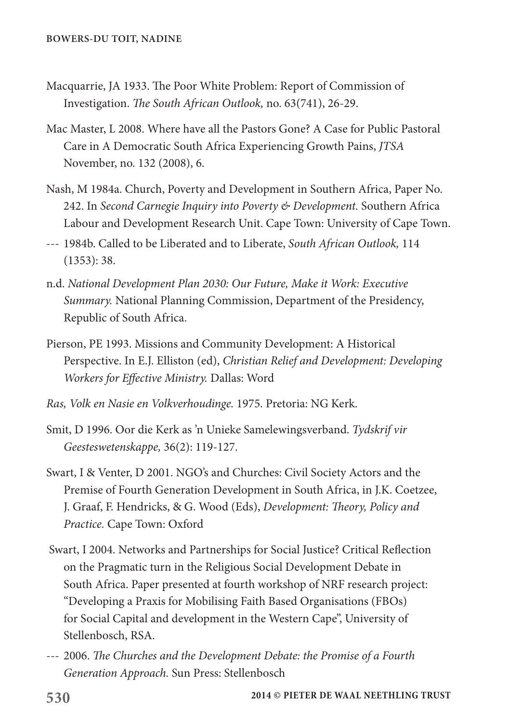- Macquarrie, JA 1933. The Poor White Problem: Report of Commission of Investigation. *The South African Outlook,* no. 63(741), 26-29.
- Mac Master, L 2008. Where have all the Pastors Gone? A Case for Public Pastoral Care in A Democratic South Africa Experiencing Growth Pains, *JTSA* November, no. 132 (2008), 6.
- Nash, M 1984a. Church, Poverty and Development in Southern Africa, Paper No. 242. In *Second Carnegie Inquiry into Poverty & Development.* Southern Africa Labour and Development Research Unit. Cape Town: University of Cape Town.
- --- 1984b. Called to be Liberated and to Liberate, *South African Outlook,* 114 (1353): 38.
- n.d. *National Development Plan 2030: Our Future, Make it Work: Executive Summary.* National Planning Commission, Department of the Presidency, Republic of South Africa.
- Pierson, PE 1993. Missions and Community Development: A Historical Perspective. In E.J. Elliston (ed), *Christian Relief and Development: Developing Workers for Effective Ministry.* Dallas: Word
- *Ras, Volk en Nasie en Volkverhoudinge.* 1975. Pretoria: NG Kerk.
- Smit, D 1996. Oor die Kerk as 'n Unieke Samelewingsverband. *Tydskrif vir Geesteswetenskappe,* 36(2): 119-127.
- Swart, I & Venter, D 2001. NGO's and Churches: Civil Society Actors and the Premise of Fourth Generation Development in South Africa, in J.K. Coetzee, J. Graaf, F. Hendricks, & G. Wood (Eds), *Development: Theory, Policy and Practice.* Cape Town: Oxford
- Swart, I 2004. Networks and Partnerships for Social Justice? Critical Reflection on the Pragmatic turn in the Religious Social Development Debate in South Africa. Paper presented at fourth workshop of NRF research project: "Developing a Praxis for Mobilising Faith Based Organisations (FBOs) for Social Capital and development in the Western Cape", University of Stellenbosch, RSA.
- --- 2006. *The Churches and the Development Debate: the Promise of a Fourth Generation Approach.* Sun Press: Stellenbosch